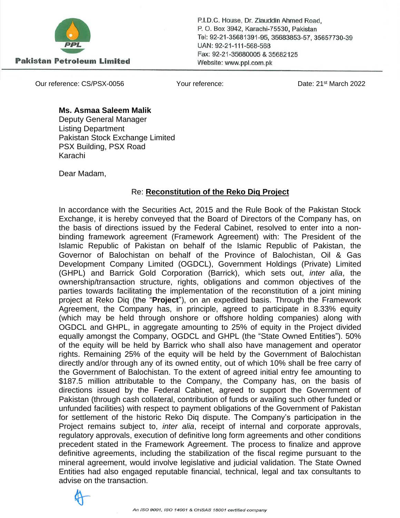

**Pakistan Petroleum Limited** 

P.I.D.C. House, Dr. Ziauddin Ahmed Road, P.O. Box 3942, Karachi-75530, Pakistan Tel: 92-21-35681391-95, 35683853-57, 35657730-39 UAN: 92-21-111-568-568 Fax: 92-21-35680005 & 35682125 Website: www.ppl.com.pk

Our reference: CS/PSX-0056 Your reference: Date: 21st March 2022

## **Ms. Asmaa Saleem Malik**

Deputy General Manager Listing Department Pakistan Stock Exchange Limited PSX Building, PSX Road Karachi

Dear Madam,

## Re: **Reconstitution of the Reko Diq Project**

In accordance with the Securities Act, 2015 and the Rule Book of the Pakistan Stock Exchange, it is hereby conveyed that the Board of Directors of the Company has, on the basis of directions issued by the Federal Cabinet, resolved to enter into a nonbinding framework agreement (Framework Agreement) with: The President of the Islamic Republic of Pakistan on behalf of the Islamic Republic of Pakistan, the Governor of Balochistan on behalf of the Province of Balochistan, Oil & Gas Development Company Limited (OGDCL), Government Holdings (Private) Limited (GHPL) and Barrick Gold Corporation (Barrick), which sets out, *inter alia*, the ownership/transaction structure, rights, obligations and common objectives of the parties towards facilitating the implementation of the reconstitution of a joint mining project at Reko Diq (the "**Project**"), on an expedited basis. Through the Framework Agreement, the Company has, in principle, agreed to participate in 8.33% equity (which may be held through onshore or offshore holding companies) along with OGDCL and GHPL, in aggregate amounting to 25% of equity in the Project divided equally amongst the Company, OGDCL and GHPL (the "State Owned Entities"). 50% of the equity will be held by Barrick who shall also have management and operator rights. Remaining 25% of the equity will be held by the Government of Balochistan directly and/or through any of its owned entity, out of which 10% shall be free carry of the Government of Balochistan. To the extent of agreed initial entry fee amounting to \$187.5 million attributable to the Company, the Company has, on the basis of directions issued by the Federal Cabinet, agreed to support the Government of Pakistan (through cash collateral, contribution of funds or availing such other funded or unfunded facilities) with respect to payment obligations of the Government of Pakistan for settlement of the historic Reko Diq dispute. The Company's participation in the Project remains subject to, *inter alia*, receipt of internal and corporate approvals, regulatory approvals, execution of definitive long form agreements and other conditions precedent stated in the Framework Agreement. The process to finalize and approve definitive agreements, including the stabilization of the fiscal regime pursuant to the mineral agreement, would involve legislative and judicial validation. The State Owned Entities had also engaged reputable financial, technical, legal and tax consultants to advise on the transaction.